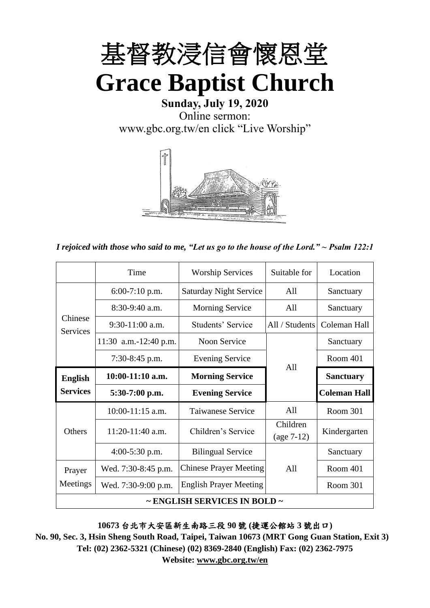

**Sunday, July 19, 2020** Online sermon: [www.gbc.org.tw/en](http://www.gbc.org.tw/en) click "Live Worship"



*I rejoiced with those who said to me, "Let us go to the house of the Lord." ~ Psalm 122:1*

|                            | Time                  | <b>Worship Services</b>       | Suitable for             | Location            |
|----------------------------|-----------------------|-------------------------------|--------------------------|---------------------|
|                            | $6:00-7:10$ p.m.      | <b>Saturday Night Service</b> | All                      | Sanctuary           |
|                            | 8:30-9:40 a.m.        | <b>Morning Service</b>        | All                      | Sanctuary           |
| Chinese<br><b>Services</b> | $9:30-11:00$ a.m.     | Students' Service             | All / Students           | Coleman Hall        |
|                            | 11:30 a.m.-12:40 p.m. | Noon Service                  |                          | Sanctuary           |
|                            | $7:30-8:45$ p.m.      | <b>Evening Service</b>        | All                      | Room 401            |
| <b>English</b>             | $10:00-11:10$ a.m.    | <b>Morning Service</b>        |                          | <b>Sanctuary</b>    |
| <b>Services</b>            | $5:30-7:00$ p.m.      | <b>Evening Service</b>        |                          | <b>Coleman Hall</b> |
|                            |                       |                               |                          |                     |
|                            | $10:00-11:15$ a.m.    | Taiwanese Service             | All                      | Room 301            |
| Others                     | 11:20-11:40 a.m.      | Children's Service            | Children<br>$(age 7-12)$ | Kindergarten        |
|                            | $4:00-5:30$ p.m.      | <b>Bilingual Service</b>      |                          | Sanctuary           |
| Prayer                     | Wed. 7:30-8:45 p.m.   | <b>Chinese Prayer Meeting</b> | A11                      | Room 401            |
| Meetings                   | Wed. 7:30-9:00 p.m.   | <b>English Prayer Meeting</b> |                          | Room 301            |

**10673** 台北市大安區新生南路三段 **90** 號 **(**捷運公館站 **3** 號出口**)**

**No. 90, Sec. 3, Hsin Sheng South Road, Taipei, Taiwan 10673 (MRT Gong Guan Station, Exit 3) Tel: (02) 2362-5321 (Chinese) (02) 8369-2840 (English) Fax: (02) 2362-7975**

**Website: www.gbc.org.tw/en**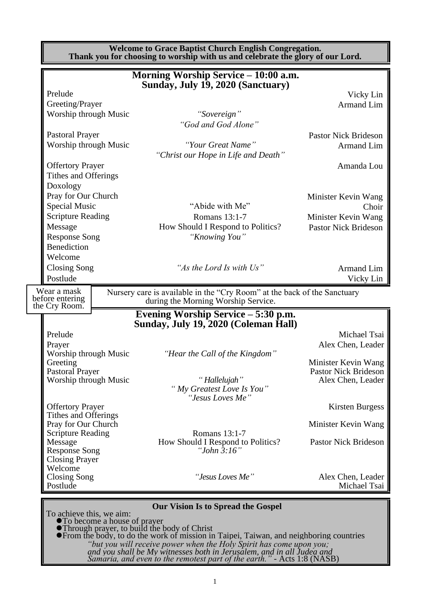|                                                                                                                                                                |                                                           | <b>Welcome to Grace Baptist Church English Congregation.</b><br>Thank you for choosing to worship with us and celebrate the glory of our Lord. |                                                                                              |
|----------------------------------------------------------------------------------------------------------------------------------------------------------------|-----------------------------------------------------------|------------------------------------------------------------------------------------------------------------------------------------------------|----------------------------------------------------------------------------------------------|
|                                                                                                                                                                |                                                           | Morning Worship Service – 10:00 a.m.<br>Sunday, July 19, 2020 (Sanctuary)                                                                      |                                                                                              |
| Prelude<br>Greeting/Prayer<br>Worship through Music                                                                                                            |                                                           | "Sovereign"<br>"God and God Alone"                                                                                                             | Vicky Lin<br><b>Armand Lim</b>                                                               |
| <b>Pastoral Prayer</b><br>Worship through Music<br><b>Offertory Prayer</b><br>Tithes and Offerings                                                             |                                                           | "Your Great Name"<br>"Christ our Hope in Life and Death"                                                                                       | <b>Pastor Nick Brideson</b><br><b>Armand Lim</b><br>Amanda Lou                               |
| Doxology<br>Pray for Our Church<br><b>Special Music</b><br><b>Scripture Reading</b><br>Message<br><b>Response Song</b><br><b>Benediction</b>                   |                                                           | "Abide with Me"<br>Romans 13:1-7<br>How Should I Respond to Politics?<br>"Knowing You"                                                         | Minister Kevin Wang<br>Choir<br>Minister Kevin Wang<br><b>Pastor Nick Brideson</b>           |
| Welcome<br>Closing Song<br>Postlude                                                                                                                            |                                                           | "As the Lord Is with Us"                                                                                                                       | <b>Armand Lim</b><br>Vicky Lin                                                               |
| Wear a mask<br>before entering<br>the Cry Room.                                                                                                                |                                                           | Nursery care is available in the "Cry Room" at the back of the Sanctuary<br>during the Morning Worship Service.                                |                                                                                              |
| Prelude                                                                                                                                                        |                                                           | Evening Worship Service – 5:30 p.m.<br>Sunday, July 19, 2020 (Coleman Hall)                                                                    | Michael Tsai                                                                                 |
| Prayer<br>Worship through Music<br>Greeting<br><b>Pastoral Prayer</b><br>Worship through Music                                                                 |                                                           | "Hear the Call of the Kingdom"<br>"Hallelujah"<br>"My Greatest Love Is You"<br>"Jesus Loves Me"                                                | Alex Chen, Leader<br>Minister Kevin Wang<br><b>Pastor Nick Brideson</b><br>Alex Chen, Leader |
| <b>Offertory Prayer</b><br>Tithes and Offerings<br>Pray for Our Church<br><b>Scripture Reading</b><br>Message<br><b>Response Song</b><br><b>Closing Prayer</b> |                                                           | Romans 13:1-7<br>How Should I Respond to Politics?<br>"John $3:16"$                                                                            | <b>Kirsten Burgess</b><br>Minister Kevin Wang<br><b>Pastor Nick Brideson</b>                 |
| Welcome<br><b>Closing Song</b><br>Postlude                                                                                                                     |                                                           | "Jesus Loves Me"                                                                                                                               | Alex Chen, Leader<br>Michael Tsai                                                            |
|                                                                                                                                                                | To achieve this, we aim:<br>• To become a house of prayer | <b>Our Vision Is to Spread the Gospel</b><br>• Through prayer, to build the body of Christ                                                     |                                                                                              |

⚫From the body, to do the work of mission in Taipei, Taiwan, and neighboring countries *"but you will receive power when the Holy Spirit has come upon you; and you shall be My witnesses both in Jerusalem, and in all Judea and Samaria, and even to the remotest part of the earth."* - Acts 1:8 (NASB)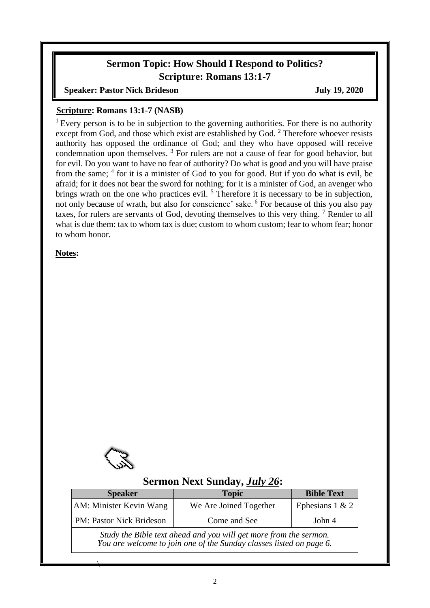# **Sermon Topic: How Should I Respond to Politics? Scripture: Romans 13:1-7**

**Speaker: Pastor Nick Brideson July 19, 2020** 

#### **Scripture: Romans 13:1-7 (NASB)**

<sup>1</sup> Every person is to be in subjection to the governing authorities. For there is no authority except from God, and those which exist are established by God. <sup>2</sup> Therefore whoever resists authority has opposed the ordinance of God; and they who have opposed will receive condemnation upon themselves. <sup>3</sup> For rulers are not a cause of fear for good behavior, but for evil. Do you want to have no fear of authority? Do what is good and you will have praise from the same; <sup>4</sup> for it is a minister of God to you for good. But if you do what is evil, be afraid; for it does not bear the sword for nothing; for it is a minister of God, an avenger who brings wrath on the one who practices evil.<sup>5</sup> Therefore it is necessary to be in subjection, not only because of wrath, but also for conscience' sake. <sup>6</sup> For because of this you also pay taxes, for rulers are servants of God, devoting themselves to this very thing.<sup>7</sup> Render to all what is due them: tax to whom tax is due; custom to whom custom; fear to whom fear; honor to whom honor.

**Notes:**



 $\overline{\phantom{a}}$ 

### **Sermon Next Sunday,** *July 26***:**

| <b>Speaker</b>                  | <b>Topic</b>                                                                                                                             | <b>Bible Text</b> |
|---------------------------------|------------------------------------------------------------------------------------------------------------------------------------------|-------------------|
| AM: Minister Kevin Wang         | We Are Joined Together                                                                                                                   | Ephesians $1 & 2$ |
| <b>PM: Pastor Nick Brideson</b> | Come and See                                                                                                                             | John 4            |
|                                 | Study the Bible text ahead and you will get more from the sermon.<br>You are welcome to join one of the Sunday classes listed on page 6. |                   |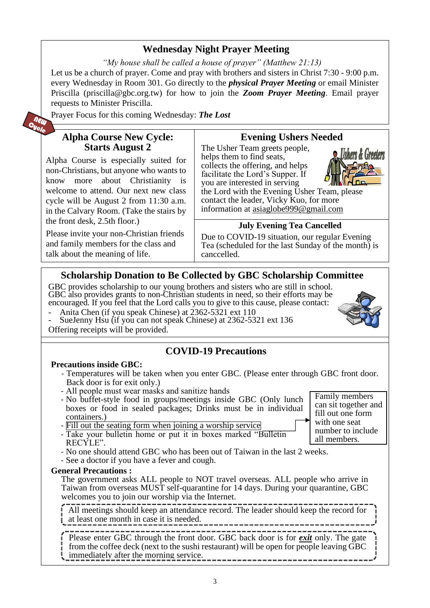# **Wednesday Night Prayer Meeting**

*"My house shall be called a house of prayer" (Matthew 21:13)* Let us be a church of prayer. Come and pray with brothers and sisters in Christ 7:30 - 9:00 p.m. every Wednesday in Room 301. Go directly to the *physical Prayer Meeting* or email Minister Priscilla (priscilla@gbc.org.tw) for how to join the *Zoom Prayer Meeting*. Email prayer requests to Minister Priscilla.

Prayer Focus for this coming Wednesday: *The Lost*

### **Alpha Course New Cycle: Starts August 2**

Alpha Course is especially suited for non-Christians, but anyone who wants to know more about Christianity is welcome to attend. Our next new class cycle will be August 2 from 11:30 a.m. in the Calvary Room. (Take the stairs by the front desk, 2.5th floor.)

Please invite your non-Christian friends and family members for the class and talk about the meaning of life.

### **Evening Ushers Needed**

The Usher Team greets people, helps them to find seats. collects the offering, and helps facilitate the Lord's Supper. If you are interested in serving



the Lord with the Evening Usher Team, please contact the leader, Vicky Kuo, for more information at [asiaglobe999@gmail.com](mailto:asiaglobe999@gmail.com)

#### **July Evening Tea Cancelled**

Due to COVID-19 situation, our regular Evening Tea (scheduled for the last Sunday of the month) is canccelled.

### **Scholarship Donation to Be Collected by GBC Scholarship Committee**

GBC provides scholarship to our young brothers and sisters who are still in school. GBC also provides grants to non-Christian students in need, so their efforts may be encouraged. If you feel that the Lord calls you to give to this cause, please contact:

- Anita Chen (if you speak Chinese) at 2362-5321 ext 110
- SueJenny Hsu (if you can not speak Chinese) at 2362-5321 ext 136 Offering receipts will be provided.

### **COVID-19 Precautions**

#### **Precautions inside GBC:**

- Temperatures will be taken when you enter GBC. (Please enter through GBC front door. Back door is for exit only.)
- All people must wear masks and sanitize hands
- No buffet-style food in groups/meetings inside GBC (Only lunch boxes or food in sealed packages; Drinks must be in individual containers.)
- Fill out the seating form when joining a worship service
- Take your bulletin home or put it in boxes marked "Bulletin RECYLE".
- No one should attend GBC who has been out of Taiwan in the last 2 weeks.
- See a doctor if you have a fever and cough.

#### **General Precautions :**

The government asks ALL people to NOT travel overseas. ALL people who arrive in Taiwan from overseas MUST self-quarantine for 14 days. During your quarantine, GBC welcomes you to join our worship via the Internet.

All meetings should keep an attendance record. The leader should keep the record for at least one month in case it is needed.

Please enter GBC through the front door. GBC back door is for *exit* only. The gate from the coffee deck (next to the sushi restaurant) will be open for people leaving GBC immediately after the morning service. 

Family members can sit together and fill out one form with one seat number to include all members.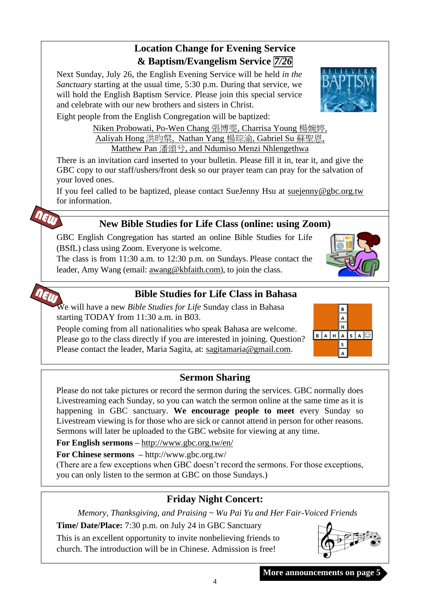# **More announcements on page 5**

## **Location Change for Evening Service & Baptism/Evangelism Service** *7/26*

Next Sunday, July 26, the English Evening Service will be held *in the Sanctuary* starting at the usual time, 5:30 p.m. During that service, we will hold the English Baptism Service. Please join this special service and celebrate with our new brothers and sisters in Christ.

Eight people from the English Congregation will be baptized:

NEW

Niken Probowati, Po-Wen Chang 張博雯, Charrisa Young 楊婉婷, Aaliyah Hong 洪昀粲, Nathan Yang 楊琮渝, Gabriel Su 蘇聖恩, Matthew Pan 潘頌兮, and Ndumiso Menzi Nhlengethwa

There is an invitation card inserted to your bulletin. Please fill it in, tear it, and give the GBC copy to our staff/ushers/front desk so our prayer team can pray for the salvation of your loved ones.

If you feel called to be baptized, please contact SueJenny Hsu at [suejenny@gbc.org.tw](mailto:suejenny@gbc.org.tw) for information.

# **New Bible Studies for Life Class (online: using Zoom)**

GBC English Congregation has started an online Bible Studies for Life (BSfL) class using Zoom. Everyone is welcome.

The class is from 11:30 a.m. to 12:30 p.m. on Sundays. Please contact the leader, Amy Wang (email: [awang@kbfaith.com\)](mailto:awang@kbfaith.com), to join the class.

# **Bible Studies for Life Class in Bahasa**

neur We will have a new *Bible Studies for Life* Sunday class in Bahasa starting TODAY from 11:30 a.m. in B03.

People coming from all nationalities who speak Bahasa are welcome. Please go to the class directly if you are interested in joining. Question? Please contact the leader, Maria Sagita, at: sagitamaria@gmail.com.

# **Sermon Sharing**

Please do not take pictures or record the sermon during the services. GBC normally does Livestreaming each Sunday, so you can watch the sermon online at the same time as it is happening in GBC sanctuary. **We encourage people to meet** every Sunday so Livestream viewing is for those who are sick or cannot attend in person for other reasons. Sermons will later be uploaded to the GBC website for viewing at any time.

**For English sermons –** <http://www.gbc.org.tw/en/>

**For Chinese sermons –** <http://www.gbc.org.tw/>

(There are a few exceptions when GBC doesn't record the sermons. For those exceptions, you can only listen to the sermon at GBC on those Sundays.)

# **Friday Night Concert:**

*Memory, Thanksgiving, and Praising ~ Wu Pai Yu and Her Fair-Voiced Friends*

**Time/ Date/Place:** 7:30 p.m. on July 24 in GBC Sanctuary

This is an excellent opportunity to invite nonbelieving friends to church. The introduction will be in Chinese. Admission is free!





 $H$  $B$  $A$  $H$  $A$  $S$  $A$  $Q$  $\sf s$  $\overline{A}$ 



4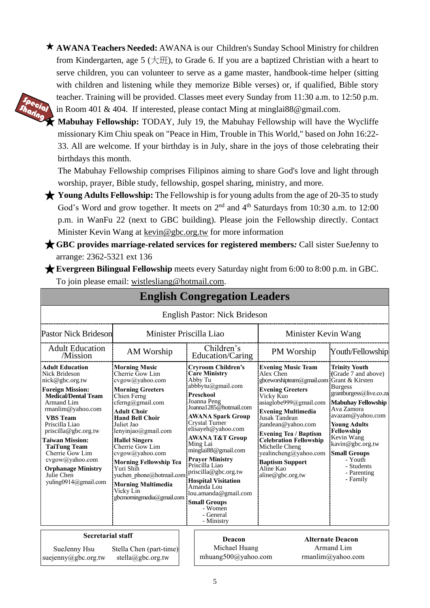**AWANA Teachers Needed:** AWANA is our Children's Sunday School Ministry for children from Kindergarten, age 5 (大班), to Grade 6. If you are a baptized Christian with a heart to serve children, you can volunteer to serve as a game master, handbook-time helper (sitting with children and listening while they memorize Bible verses) or, if qualified, Bible story teacher. Training will be provided. Classes meet every Sunday from 11:30 a.m. to 12:50 p.m. in Room 401 & 404. If interested, please contact Ming at minglai88@gmail.com.



★ **Mabuhay Fellowship:** TODAY, July 19, the Mabuhay Fellowship will have the Wycliffe missionary Kim Chiu speak on "Peace in Him, Trouble in This World," based on John 16:22- 33. All are welcome. If your birthday is in July, share in the joys of those celebrating their birthdays this month.

The Mabuhay Fellowship comprises Filipinos aiming to share God's love and light through worship, prayer, Bible study, fellowship, gospel sharing, ministry, and more.

★ **Young Adults Fellowship:** The Fellowship is for young adults from the age of 20-35 to study God's Word and grow together. It meets on 2<sup>nd</sup> and 4<sup>th</sup> Saturdays from 10:30 a.m. to 12:00 p.m. in WanFu 22 (next to GBC building). Please join the Fellowship directly. Contact Minister Kevin Wang at kevin@gbc.org.tw for more information

★**GBC provides marriage-related services for registered members***:* Call sister SueJenny to arrange: 2362-5321 ext 136

★**Evergreen Bilingual Fellowship** meets every Saturday night from 6:00 to 8:00 p.m. in GBC. To join please email: [wistlesliang@hotmail.com.](mailto:wistlesliang@hotmail.com)

|                                                                                                                                                                                                                                                                                                                                                                                         |                                                                                                                                                                                                                                                                                                                                                                                                                               | <b>English Congregation Leaders</b>                                                                                                                                                                                                                                                                                                                                                                                                                                               |                                                                                                                                                                                                                                                                                                                                                                                                  |                                                                                                                                                                                                                                                                                                           |
|-----------------------------------------------------------------------------------------------------------------------------------------------------------------------------------------------------------------------------------------------------------------------------------------------------------------------------------------------------------------------------------------|-------------------------------------------------------------------------------------------------------------------------------------------------------------------------------------------------------------------------------------------------------------------------------------------------------------------------------------------------------------------------------------------------------------------------------|-----------------------------------------------------------------------------------------------------------------------------------------------------------------------------------------------------------------------------------------------------------------------------------------------------------------------------------------------------------------------------------------------------------------------------------------------------------------------------------|--------------------------------------------------------------------------------------------------------------------------------------------------------------------------------------------------------------------------------------------------------------------------------------------------------------------------------------------------------------------------------------------------|-----------------------------------------------------------------------------------------------------------------------------------------------------------------------------------------------------------------------------------------------------------------------------------------------------------|
|                                                                                                                                                                                                                                                                                                                                                                                         |                                                                                                                                                                                                                                                                                                                                                                                                                               | English Pastor: Nick Brideson                                                                                                                                                                                                                                                                                                                                                                                                                                                     |                                                                                                                                                                                                                                                                                                                                                                                                  |                                                                                                                                                                                                                                                                                                           |
| <b>Pastor Nick Brideson</b>                                                                                                                                                                                                                                                                                                                                                             | Minister Priscilla Liao                                                                                                                                                                                                                                                                                                                                                                                                       |                                                                                                                                                                                                                                                                                                                                                                                                                                                                                   | Minister Kevin Wang                                                                                                                                                                                                                                                                                                                                                                              |                                                                                                                                                                                                                                                                                                           |
| <b>Adult Education</b><br>/Mission                                                                                                                                                                                                                                                                                                                                                      | AM Worship                                                                                                                                                                                                                                                                                                                                                                                                                    | Children's<br>Education/Caring                                                                                                                                                                                                                                                                                                                                                                                                                                                    | PM Worship                                                                                                                                                                                                                                                                                                                                                                                       | Youth/Fellowship                                                                                                                                                                                                                                                                                          |
| <b>Adult Education</b><br>Nick Brideson<br>nick@gbc.org.tw<br><b>Foreign Mission:</b><br><b>Medical/Dental Team</b><br><b>Armand Lim</b><br>$r$ manlim@yahoo.com<br><b>VBS</b> Team<br>Priscilla Liao<br>priscilla@gbc.org.tw<br><b>Taiwan Mission:</b><br><b>TaiTung Team</b><br>Cherrie Gow Lim<br>cvgow@yahoo.com<br><b>Orphanage Ministry</b><br>Julie Chen<br>yuling0914@gmail.com | <b>Morning Music</b><br>Cherrie Gow Lim<br>cvgow@yahoo.com<br><b>Morning Greeters</b><br>Chien Ferng<br>cferng@gmail.com<br><b>Adult Choir</b><br><b>Hand Bell Choir</b><br>Juliet Jao<br>lenyinjao@gmail.com<br><b>Hallel Singers</b><br>Cherrie Gow Lim<br>cvgow@yahoo.com<br><b>Morning Fellowship Tea</b><br>Yuri Shih<br>yuchen phone@hotmail.com<br><b>Morning Multimedia</b><br>Vicky Lin<br>gbcmorningmedia@gmail.com | <b>Cryroom Children's</b><br><b>Care Ministry</b><br>Abby Tu<br>abbbytu@gmail.com<br>Preschool<br>Joanna Peng<br>Joanna1285@hotmail.com<br>AWANA Spark Group<br><b>Crystal Turner</b><br>elisayeh@yahoo.com<br><b>AWANA T&amp;T Group</b><br>Ming Lai<br>minglai88@gmail.com<br><b>Prayer Ministry</b><br>Priscilla Liao<br>priscilla@gbc.org.tw<br><b>Hospital Visitation</b><br>Amanda Lou<br>lou.amanda@gmail.com<br><b>Small Groups</b><br>- Women<br>- General<br>- Ministry | <b>Evening Music Team</b><br>Alex Chen<br>gbceworshipteam@gmail.com Grant & Kirsten<br><b>Evening Greeters</b><br>Vicky Kuo<br>asiaglobe999@gmail.com<br><b>Evening Multimedia</b><br>Jusak Tandean<br>jtandean@yahoo.com<br><b>Evening Tea / Baptism</b><br><b>Celebration Fellowship</b><br>Michelle Cheng<br>yealincheng@yahoo.com<br><b>Baptism Support</b><br>Aline Kao<br>aline@gbc.org.tw | <b>Trinity Youth</b><br>(Grade 7 and above)<br><b>Burgess</b><br>grantburgess@live.co.za<br><b>Mabuhay Fellowship</b><br>Ava Zamora<br>avazam@yahoo.com<br><b>Young Adults</b><br>Fellowship<br>Kevin Wang<br>kavin@gbc.org.tw<br><b>Small Groups</b><br>- Youth<br>- Students<br>- Parenting<br>- Family |
| <b>Secretarial staff</b>                                                                                                                                                                                                                                                                                                                                                                |                                                                                                                                                                                                                                                                                                                                                                                                                               | Deacon                                                                                                                                                                                                                                                                                                                                                                                                                                                                            |                                                                                                                                                                                                                                                                                                                                                                                                  | <b>Alternate Deacon</b>                                                                                                                                                                                                                                                                                   |
| SueJenny Hsu                                                                                                                                                                                                                                                                                                                                                                            | Stella Chen (part-time)                                                                                                                                                                                                                                                                                                                                                                                                       | Michael Huang                                                                                                                                                                                                                                                                                                                                                                                                                                                                     |                                                                                                                                                                                                                                                                                                                                                                                                  | Armand Lim                                                                                                                                                                                                                                                                                                |
| suejenny@gbc.org.tw                                                                                                                                                                                                                                                                                                                                                                     | stella@gbc.org.tw                                                                                                                                                                                                                                                                                                                                                                                                             | mhuang500@yahoo.com                                                                                                                                                                                                                                                                                                                                                                                                                                                               |                                                                                                                                                                                                                                                                                                                                                                                                  | rmanlim@yahoo.com                                                                                                                                                                                                                                                                                         |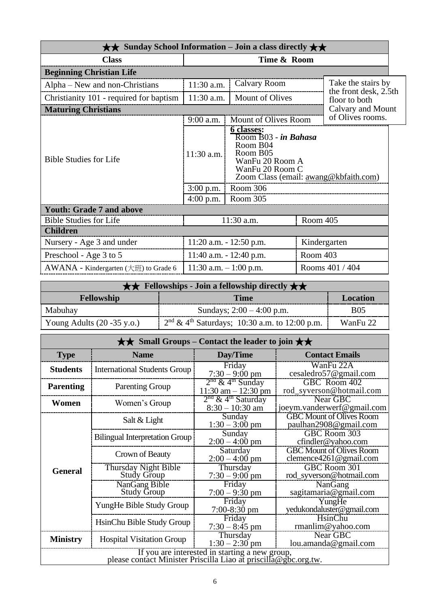| $\star\star$ Sunday School Information – Join a class directly $\star\star$ |                                            |                                                                                                                                                                   |          |                                             |  |
|-----------------------------------------------------------------------------|--------------------------------------------|-------------------------------------------------------------------------------------------------------------------------------------------------------------------|----------|---------------------------------------------|--|
| <b>Class</b>                                                                |                                            | Time & Room                                                                                                                                                       |          |                                             |  |
| <b>Beginning Christian Life</b>                                             |                                            |                                                                                                                                                                   |          |                                             |  |
| Alpha – New and non-Christians                                              | 11:30 a.m.                                 | Calvary Room                                                                                                                                                      |          | Take the stairs by<br>the front desk, 2.5th |  |
| Christianity 101 - required for baptism                                     | 11:30 a.m.                                 | Mount of Olives                                                                                                                                                   |          | floor to both                               |  |
| <b>Maturing Christians</b>                                                  |                                            |                                                                                                                                                                   |          | Calvary and Mount                           |  |
|                                                                             | 9:00 a.m.                                  | Mount of Olives Room                                                                                                                                              |          | of Olives rooms.                            |  |
| <b>Bible Studies for Life</b>                                               | $11:30$ a.m.<br>$3:00$ p.m.<br>$4:00$ p.m. | 6 classes:<br>Room B03 - in Bahasa<br>Room B04<br>Room B05<br>WanFu 20 Room A<br>WanFu 20 Room C<br>Zoom Class (email: awang@kbfaith.com)<br>Room 306<br>Room 305 |          |                                             |  |
| <b>Youth: Grade 7 and above</b>                                             |                                            |                                                                                                                                                                   |          |                                             |  |
| <b>Bible Studies for Life</b>                                               |                                            | 11:30 a.m.                                                                                                                                                        | Room 405 |                                             |  |
| <b>Children</b>                                                             |                                            |                                                                                                                                                                   |          |                                             |  |
| Nursery - Age 3 and under                                                   |                                            | $11:20$ a.m. $-12:50$ p.m.                                                                                                                                        |          | Kindergarten                                |  |
| Preschool - Age 3 to 5                                                      |                                            | $11:40$ a.m. $-12:40$ p.m.                                                                                                                                        | Room 403 |                                             |  |
| AWANA - Kindergarten (大班) to Grade 6                                        |                                            | 11:30 a.m. $-1:00$ p.m.                                                                                                                                           |          | Rooms 401 / 404                             |  |

|                                       | $\star \star$ Fellowships - Join a fellowship directly $\star \star$ |                 |
|---------------------------------------|----------------------------------------------------------------------|-----------------|
| <b>Fellowship</b>                     | <b>Time</b>                                                          | <b>Location</b> |
| Mabuhay                               | Sundays; $2:00 - 4:00$ p.m.                                          | <b>B05</b>      |
| Young Adults $(20 - 35 \text{ y.o.})$ | $2nd \& 4th Saturdays$ ; 10:30 a.m. to 12:00 p.m.                    | WanFu 22        |

|                  |                                                                 | $\star\star$ Small Groups – Contact the leader to join $\star\star$ |                                                           |
|------------------|-----------------------------------------------------------------|---------------------------------------------------------------------|-----------------------------------------------------------|
| <b>Type</b>      | <b>Name</b>                                                     | Day/Time                                                            | <b>Contact Emails</b>                                     |
| <b>Students</b>  | <b>International Students Group</b>                             | Friday<br>$7:30 - 9:00$ pm                                          | WanFu 22A<br>cesaledro57@gmail.com                        |
| <b>Parenting</b> | <b>Parenting Group</b>                                          | $2nd$ & 4 <sup>th</sup> Sunday<br>$11:30$ am $-12:30$ pm            | GBC Room 402<br>rod_syverson@hotmail.com                  |
| Women            | Women's Group                                                   | $2nd$ & 4 <sup>th</sup> Saturday<br>$8:30 - 10:30$ am               | Near GBC<br>joeym.vanderwerf@gmail.com                    |
|                  | Salt & Light                                                    | Sunday<br>$1:30 - 3:00$ pm                                          | <b>GBC Mount of Olives Room</b><br>paulhan2908@gmail.com  |
|                  | <b>Bilingual Interpretation Group</b>                           | Sunday<br>$2:00 - 4:00$ pm                                          | GBC Room 303<br>cfindler@yahoo.com                        |
|                  | Crown of Beauty                                                 | Saturday<br>$2:00 - 4:00$ pm                                        | <b>GBC Mount of Olives Room</b><br>clemence4261@gmail.com |
| <b>General</b>   | Thursday Night Bible<br>Study Group                             | Thursday<br>$7:30 - 9:00$ pm                                        | GBC Room 301<br>rod_syverson@hotmail.com                  |
|                  | NanGang Bible<br><b>Study Group</b>                             | Friday<br>$7:00 - 9:30$ pm                                          | NanGang<br>sagitamaria@gmail.com                          |
|                  | YungHe Bible Study Group                                        | Friday<br>7:00-8:30 pm                                              | YungHe<br>yedukondaluster@gmail.com                       |
|                  | HsinChu Bible Study Group                                       | Friday<br>$7:30 - 8:45$ pm                                          | HsinChu<br>rmanlim@yahoo.com                              |
| <b>Ministry</b>  | <b>Hospital Visitation Group</b>                                | Thursday<br>$1:30 - 2:30$ pm                                        | Near GBC<br>lou. amanda@gmail.com                         |
|                  | please contact Minister Priscilla Liao at priscilla@gbc.org.tw. | If you are interested in starting a new group,                      |                                                           |